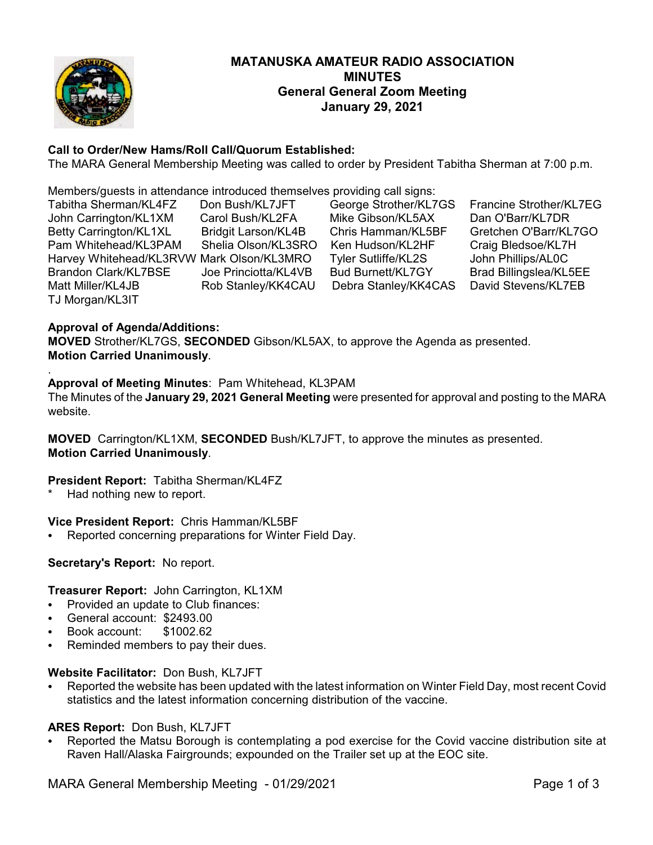

# **MATANUSKA AMATEUR RADIO ASSOCIATION MINUTES General General Zoom Meeting January 29, 2021**

# **Call to Order/New Hams/Roll Call/Quorum Established:**

The MARA General Membership Meeting was called to order by President Tabitha Sherman at 7:00 p.m.

Members/guests in attendance introduced themselves providing call signs:

| Tabitha Sherman/KL4FZ                     | Don Bush/KL7JFT            | George Strother/KL7GS      | Francine Strother/KL7EG |
|-------------------------------------------|----------------------------|----------------------------|-------------------------|
| John Carrington/KL1XM                     | Carol Bush/KL2FA           | Mike Gibson/KL5AX          | Dan O'Barr/KL7DR        |
| Betty Carrington/KL1XL                    | <b>Bridgit Larson/KL4B</b> | Chris Hamman/KL5BF         | Gretchen O'Barr/KL7GO   |
| Pam Whitehead/KL3PAM                      | Shelia Olson/KL3SRO        | Ken Hudson/KL2HF           | Craig Bledsoe/KL7H      |
| Harvey Whitehead/KL3RVW Mark Olson/KL3MRO |                            | <b>Tyler Sutliffe/KL2S</b> | John Phillips/AL0C      |
| Brandon Clark/KL7BSE                      | Joe Princiotta/KL4VB       | <b>Bud Burnett/KL7GY</b>   | Brad Billingslea/KL5EE  |
| Matt Miller/KL4JB                         | Rob Stanley/KK4CAU         | Debra Stanley/KK4CAS       | David Stevens/KL7EB     |
| TJ Morgan/KL3IT                           |                            |                            |                         |

### **Approval of Agenda/Additions:**

**MOVED** Strother/KL7GS, **SECONDED** Gibson/KL5AX, to approve the Agenda as presented. **Motion Carried Unanimously**.

#### . **Approval of Meeting Minutes**: Pam Whitehead, KL3PAM

The Minutes of the **January 29, 2021 General Meeting** were presented for approval and posting to the MARA website.

**MOVED** Carrington/KL1XM, **SECONDED** Bush/KL7JFT, to approve the minutes as presented. **Motion Carried Unanimously**.

# **President Report:** Tabitha Sherman/KL4FZ

Had nothing new to report.

# **Vice President Report:** Chris Hamman/KL5BF

• Reported concerning preparations for Winter Field Day.

#### **Secretary's Report:** No report.

#### **Treasurer Report:** John Carrington, KL1XM

- Provided an update to Club finances:
- C General account: \$2493.00
- C Book account: \$1002.62
- Reminded members to pay their dues.

#### **Website Facilitator:** Don Bush, KL7JFT

Reported the website has been updated with the latest information on Winter Field Day, most recent Covid statistics and the latest information concerning distribution of the vaccine.

# **ARES Report:** Don Bush, KL7JFT

C Reported the Matsu Borough is contemplating a pod exercise for the Covid vaccine distribution site at Raven Hall/Alaska Fairgrounds; expounded on the Trailer set up at the EOC site.

MARA General Membership Meeting - 01/29/2021 **Page 1** of 3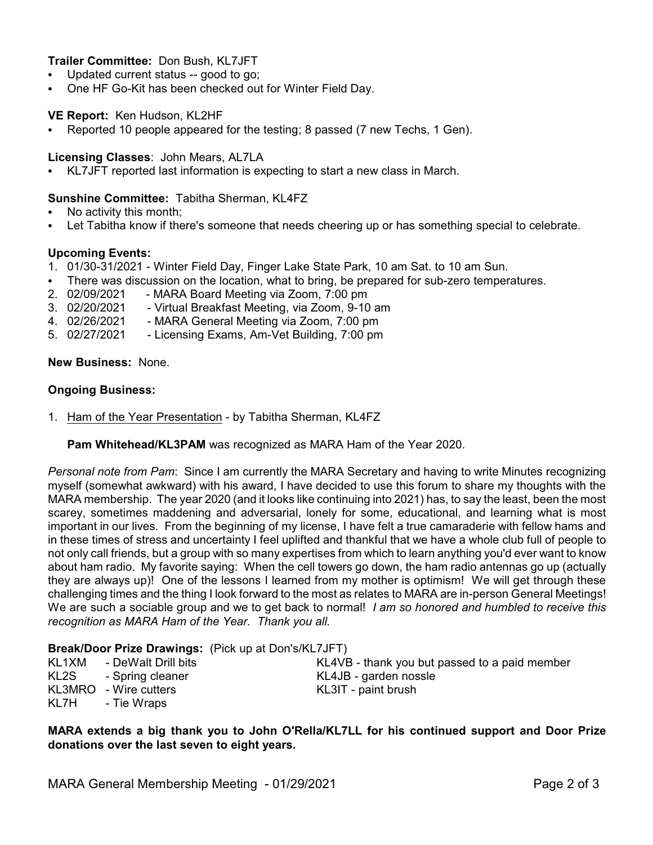### **Trailer Committee:** Don Bush, KL7JFT

- Updated current status -- good to go;
- One HF Go-Kit has been checked out for Winter Field Day.

#### **VE Report:** Ken Hudson, KL2HF

• Reported 10 people appeared for the testing; 8 passed (7 new Techs, 1 Gen).

#### **Licensing Classes**: John Mears, AL7LA

• KL7JFT reported last information is expecting to start a new class in March.

#### **Sunshine Committee:** Tabitha Sherman, KL4FZ

- No activity this month;
- Let Tabitha know if there's someone that needs cheering up or has something special to celebrate.

#### **Upcoming Events:**

- 1. 01/30-31/2021 Winter Field Day, Finger Lake State Park, 10 am Sat. to 10 am Sun.
- There was discussion on the location, what to bring, be prepared for sub-zero temperatures.
- 2. 02/09/2021 MARA Board Meeting via Zoom, 7:00 pm
- 3. 02/20/2021 Virtual Breakfast Meeting, via Zoom, 9-10 am
- 4. 02/26/2021 MARA General Meeting via Zoom, 7:00 pm
- 5. 02/27/2021 Licensing Exams, Am-Vet Building, 7:00 pm

### **New Business:** None.

#### **Ongoing Business:**

1. Ham of the Year Presentation - by Tabitha Sherman, KL4FZ

**Pam Whitehead/KL3PAM** was recognized as MARA Ham of the Year 2020.

*Personal note from Pam*: Since I am currently the MARA Secretary and having to write Minutes recognizing myself (somewhat awkward) with his award, I have decided to use this forum to share my thoughts with the MARA membership. The year 2020 (and it looks like continuing into 2021) has, to say the least, been the most scarey, sometimes maddening and adversarial, lonely for some, educational, and learning what is most important in our lives. From the beginning of my license, I have felt a true camaraderie with fellow hams and in these times of stress and uncertainty I feel uplifted and thankful that we have a whole club full of people to not only call friends, but a group with so many expertises from which to learn anything you'd ever want to know about ham radio. My favorite saying: When the cell towers go down, the ham radio antennas go up (actually they are always up)! One of the lessons I learned from my mother is optimism! We will get through these challenging times and the thing I look forward to the most as relates to MARA are in-person General Meetings! We are such a sociable group and we to get back to normal! *I am so honored and humbled to receive this recognition as MARA Ham of the Year. Thank you all.*

#### **Break/Door Prize Drawings:** (Pick up at Don's/KL7JFT)

| KL1XM | - DeWalt Drill bits   | KL4VB - thank you but passed to a paid member |
|-------|-----------------------|-----------------------------------------------|
| KL2S  | - Spring cleaner      | KL4JB - garden nossle                         |
|       | KL3MRO - Wire cutters | KL3IT - paint brush                           |
| KL7H  | - Tie Wraps           |                                               |

**MARA extends a big thank you to John O'Rella/KL7LL for his continued support and Door Prize donations over the last seven to eight years.**